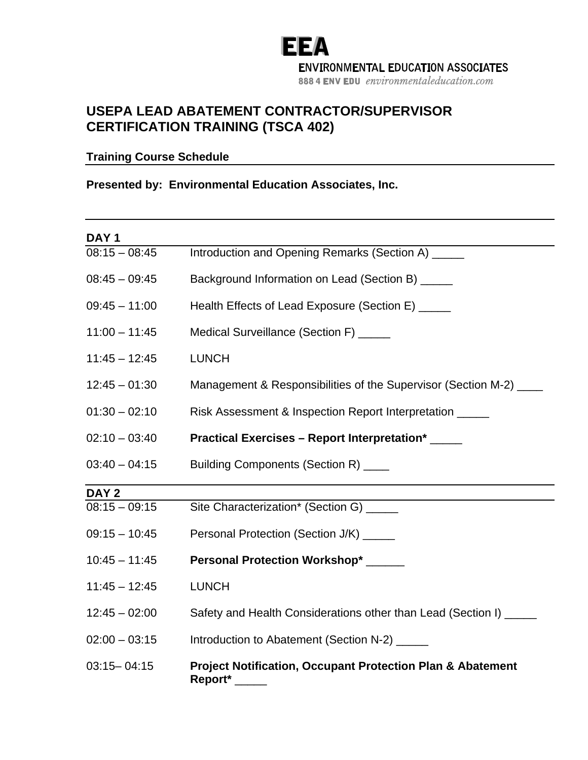# **EEA ENVIRONMENTAL EDUCATION ASSOCIATES** 888 4 ENV EDU environmentaleducation.com

## **USEPA LEAD ABATEMENT CONTRACTOR/SUPERVISOR CERTIFICATION TRAINING (TSCA 402)**

### **Training Course Schedule**

#### **Presented by: Environmental Education Associates, Inc.**

| DAY <sub>1</sub> |                                                                                  |
|------------------|----------------------------------------------------------------------------------|
| $08:15 - 08:45$  | Introduction and Opening Remarks (Section A) _____                               |
| $08:45 - 09:45$  | Background Information on Lead (Section B) _____                                 |
| $09:45 - 11:00$  | Health Effects of Lead Exposure (Section E) _____                                |
| $11:00 - 11:45$  | Medical Surveillance (Section F) _____                                           |
| $11:45 - 12:45$  | <b>LUNCH</b>                                                                     |
| $12:45 - 01:30$  | Management & Responsibilities of the Supervisor (Section M-2) ___                |
| $01:30 - 02:10$  | Risk Assessment & Inspection Report Interpretation _____                         |
| $02:10 - 03:40$  | Practical Exercises - Report Interpretation* _____                               |
| $03:40 - 04:15$  | Building Components (Section R) ____                                             |
| DAY <sub>2</sub> |                                                                                  |
| $08:15 - 09:15$  | Site Characterization* (Section G) _____                                         |
| $09:15 - 10:45$  | Personal Protection (Section J/K) _____                                          |
| $10:45 - 11:45$  | Personal Protection Workshop* ______                                             |
| $11:45 - 12:45$  | <b>LUNCH</b>                                                                     |
| $12:45 - 02:00$  | Safety and Health Considerations other than Lead (Section I) _____               |
| $02:00 - 03:15$  | Introduction to Abatement (Section N-2) _____                                    |
| $03:15 - 04:15$  | <b>Project Notification, Occupant Protection Plan &amp; Abatement</b><br>Report* |